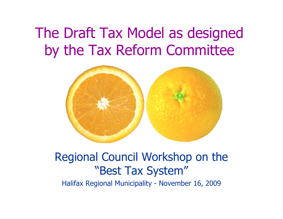## The Draft Tax Model as designed by the Tax Reform Committee



### Regional Council Workshop on the "Best Tax System"

Halifax Regional Municipality - November 16, 2009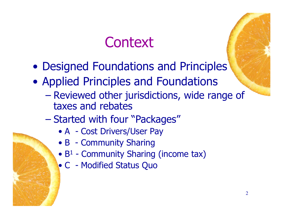## **Context**

- Designed Foundations and Principles
- Applied Principles and Foundations
	- Reviewed other jurisdictions, wide range of taxes and rebates
	- Started with four "Packages"
		- A Cost Drivers/User Pay
		- B Community Sharing
		- $\bullet$  B<sup>1</sup> Community Sharing (income tax)
		- C Modified Status Quo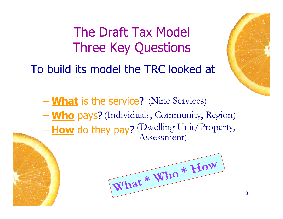The Draft Tax Model Three Key Questions

To build its model the TRC looked at



– **What** is the service? (Nine Services) – **Who** pays? (Individuals, Community, Region) - **How** do they pay? (Dwelling Unit/Property, Assessment)

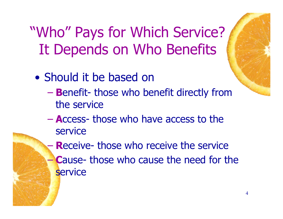# "Who" Pays for Which Service? It Depends on Who Benefits

- Should it be based on
	- **B**enefit those who benefit directly from the service
	- **A**ccess those who have access to the service

**Receive- those who receive the service Cause- those who cause the need for the service** 

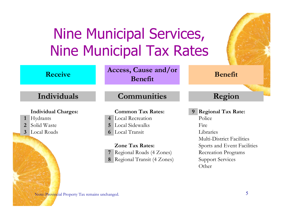# Nine Municipal Services, Nine Municipal Tax Rates

| <b>Receive</b>                                                                                            | Access, Cause and/or<br>Benefit                                                                                                                                                                                                         | <b>Benefit</b>                                                                                                                                                                                     |
|-----------------------------------------------------------------------------------------------------------|-----------------------------------------------------------------------------------------------------------------------------------------------------------------------------------------------------------------------------------------|----------------------------------------------------------------------------------------------------------------------------------------------------------------------------------------------------|
| Individuals                                                                                               | <b>Communities</b>                                                                                                                                                                                                                      | Region                                                                                                                                                                                             |
| <b>Individual Charges:</b><br>Hydrants<br>$\mathbf{1}$<br>Solid Waste<br>2<br>Local Roads<br>$\mathbf{3}$ | <b>Common Tax Rates:</b><br><b>Local Recreation</b><br>$\overline{4}$<br><b>Local Sidewalks</b><br>5<br>Local Transit<br>$\boldsymbol{\theta}$<br><b>Zone Tax Rates:</b><br>Regional Roads (4 Zones)<br>Regional Transit (4 Zones)<br>8 | <b>Regional Tax Rate:</b><br>9<br>Police<br>Fire<br>Libraries<br><b>Multi-District Facilities</b><br>Sports and Event Facilities<br><b>Recreation Programs</b><br><b>Support Services</b><br>Other |
| Note: Provincial Property Tax remains unchanged.                                                          |                                                                                                                                                                                                                                         | 5                                                                                                                                                                                                  |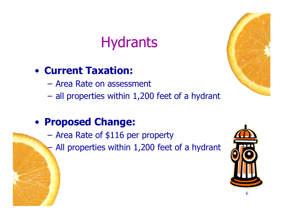## **Hydrants**

### • **Current Taxation:**

- Area Rate on assessment
- all properties within 1,200 feet of a hydrant

#### • **Proposed Change:**

- Area Rate of \$116 per property
	- All properties within 1,200 feet of a hydrant



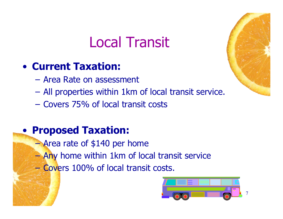## Local Transit

### • **Current Taxation:**

- Area Rate on assessment
- All properties within 1km of local transit service.
- Covers 75% of local transit costs

- Area rate of \$140 per home
- Any home within 1km of local transit service
- Covers 100% of local transit costs.



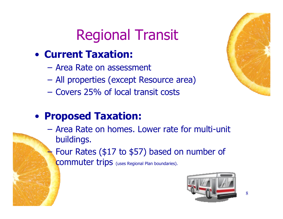# Regional Transit

### • **Current Taxation:**

- Area Rate on assessment
- All properties (except Resource area)
- Covers 25% of local transit costs

### • **Proposed Taxation:**

– Area Rate on homes. Lower rate for multi-unit buildings.

– Four Rates (\$17 to \$57) based on number of

commuter trips (uses Regional Plan boundaries).





8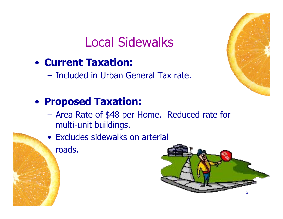### Local Sidewalks

- **Current Taxation:**
	- Included in Urban General Tax rate.

- Area Rate of \$48 per Home. Reduced rate for multi-unit buildings.
- Excludes sidewalks on arterial roads.



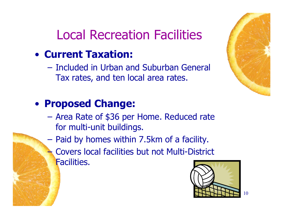### Local Recreation Facilities

### • **Current Taxation:**

– Included in Urban and Suburban General Tax rates, and ten local area rates.

### • **Proposed Change:**

- Area Rate of \$36 per Home. Reduced rate for multi-unit buildings.
- Paid by homes within 7.5km of a facility.
	- Covers local facilities but not Multi-District Facilities.





10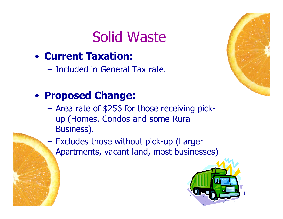## Solid Waste



– Included in General Tax rate.

### • **Proposed Change:**

- Area rate of \$256 for those receiving pickup (Homes, Condos and some Rural Business).
- Excludes those without pick-up (Larger Apartments, vacant land, most businesses)



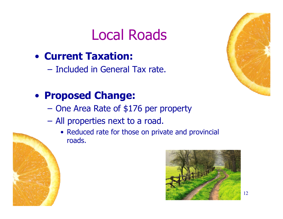## Local Roads

### • **Current Taxation:**

– Included in General Tax rate.

### • **Proposed Change:**

- One Area Rate of \$176 per property
- All properties next to a road.
	- Reduced rate for those on private and provincial roads.



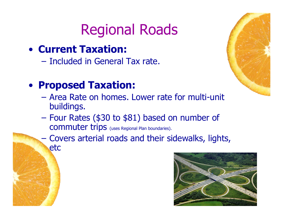## Regional Roads

- **Current Taxation:**
	- Included in General Tax rate.

- $-$  Area Rate on homes. Lower rate for multi-unit buildings.
- Four Rates (\$30 to \$81) based on number of commuter trips (uses Regional Plan boundaries).
- Covers arterial roads and their sidewalks, lights, etc



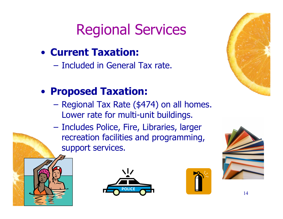# Regional Services

- **Current Taxation:**
	- Included in General Tax rate.

- Regional Tax Rate (\$474) on all homes. Lower rate for multi-unit buildings.
- Includes Police, Fire, Libraries, larger recreation facilities and programming, support services.







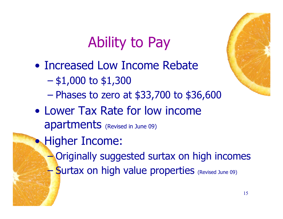## Ability to Pay

- Increased Low Income Rebate
	- $-$  \$1,000 to \$1,300
	- Phases to zero at \$33,700 to \$36,600
- Lower Tax Rate for low income apartments (Revised in June 09)
- Higher Income:
	- Originally suggested surtax on high incomes
	- Surtax on high value properties (Revised June 09)